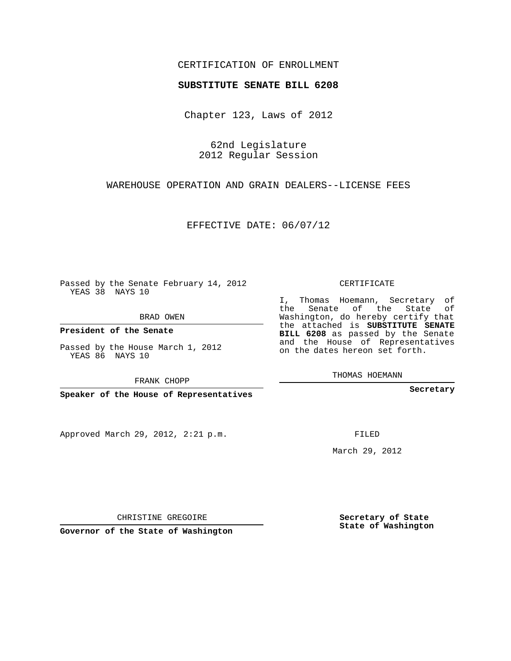## CERTIFICATION OF ENROLLMENT

## **SUBSTITUTE SENATE BILL 6208**

Chapter 123, Laws of 2012

62nd Legislature 2012 Regular Session

WAREHOUSE OPERATION AND GRAIN DEALERS--LICENSE FEES

EFFECTIVE DATE: 06/07/12

Passed by the Senate February 14, 2012 YEAS 38 NAYS 10

BRAD OWEN

**President of the Senate**

Passed by the House March 1, 2012 YEAS 86 NAYS 10

FRANK CHOPP

**Speaker of the House of Representatives**

Approved March 29, 2012, 2:21 p.m.

CERTIFICATE

I, Thomas Hoemann, Secretary of the Senate of the State of Washington, do hereby certify that the attached is **SUBSTITUTE SENATE BILL 6208** as passed by the Senate and the House of Representatives on the dates hereon set forth.

THOMAS HOEMANN

**Secretary**

FILED

March 29, 2012

**Secretary of State State of Washington**

CHRISTINE GREGOIRE

**Governor of the State of Washington**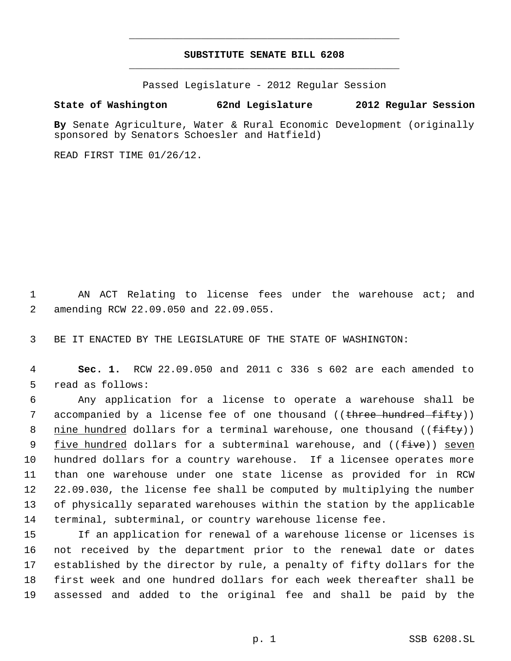## **SUBSTITUTE SENATE BILL 6208** \_\_\_\_\_\_\_\_\_\_\_\_\_\_\_\_\_\_\_\_\_\_\_\_\_\_\_\_\_\_\_\_\_\_\_\_\_\_\_\_\_\_\_\_\_

\_\_\_\_\_\_\_\_\_\_\_\_\_\_\_\_\_\_\_\_\_\_\_\_\_\_\_\_\_\_\_\_\_\_\_\_\_\_\_\_\_\_\_\_\_

Passed Legislature - 2012 Regular Session

## **State of Washington 62nd Legislature 2012 Regular Session**

**By** Senate Agriculture, Water & Rural Economic Development (originally sponsored by Senators Schoesler and Hatfield)

READ FIRST TIME 01/26/12.

1 AN ACT Relating to license fees under the warehouse act; and 2 amending RCW 22.09.050 and 22.09.055.

3 BE IT ENACTED BY THE LEGISLATURE OF THE STATE OF WASHINGTON:

 4 **Sec. 1.** RCW 22.09.050 and 2011 c 336 s 602 are each amended to 5 read as follows:

 Any application for a license to operate a warehouse shall be 7 accompanied by a license fee of one thousand ((<del>three hundred fifty</del>)) 8 nine hundred dollars for a terminal warehouse, one thousand ((fifty)) 9 five hundred dollars for a subterminal warehouse, and ((<del>five</del>)) seven hundred dollars for a country warehouse. If a licensee operates more than one warehouse under one state license as provided for in RCW 22.09.030, the license fee shall be computed by multiplying the number of physically separated warehouses within the station by the applicable terminal, subterminal, or country warehouse license fee.

 If an application for renewal of a warehouse license or licenses is not received by the department prior to the renewal date or dates established by the director by rule, a penalty of fifty dollars for the first week and one hundred dollars for each week thereafter shall be assessed and added to the original fee and shall be paid by the